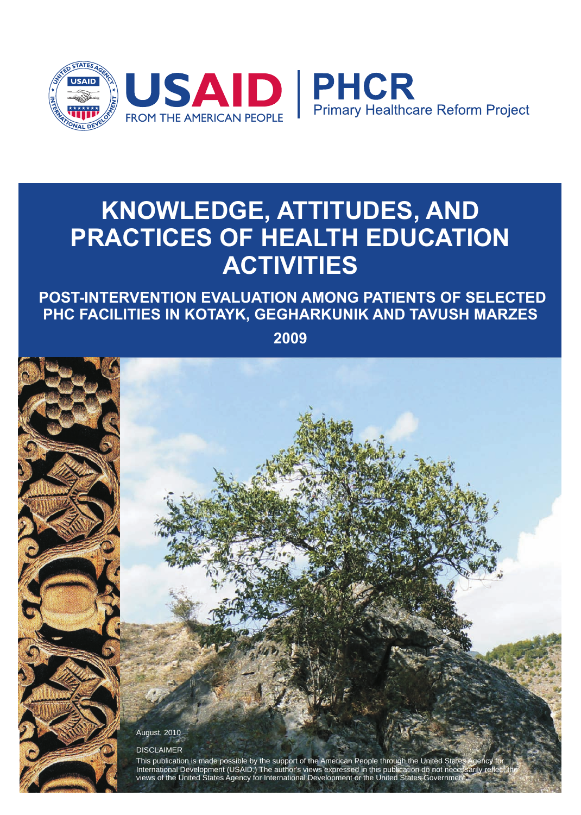

# **KNOWLEDGE, ATTITUDES, AND PRACTICES OF HEALTH EDUCATION ACTIVITIES**

 **POST-INTERVENTION EVALUATION AMONG PATIENTS OF SELECTED PHC FACILITIES IN KOTAYK, GEGHARKUNIK AND TAVUSH MARZES** 

**2009**

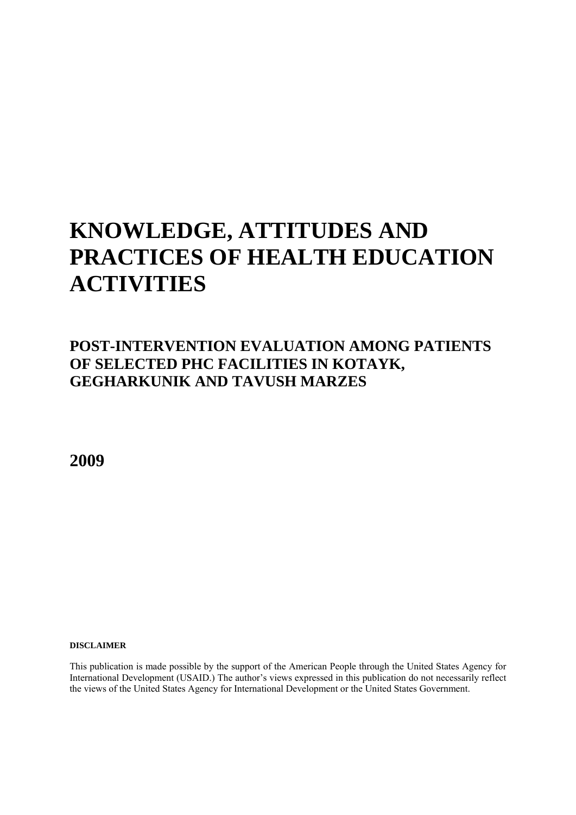# **KNOWLEDGE, ATTITUDES AND PRACTICES OF HEALTH EDUCATION ACTIVITIES**

# **POST-INTERVENTION EVALUATION AMONG PATIENTS OF SELECTED PHC FACILITIES IN KOTAYK, GEGHARKUNIK AND TAVUSH MARZES**

**2009** 

**DISCLAIMER** 

This publication is made possible by the support of the American People through the United States Agency for International Development (USAID.) The author's views expressed in this publication do not necessarily reflect the views of the United States Agency for International Development or the United States Government.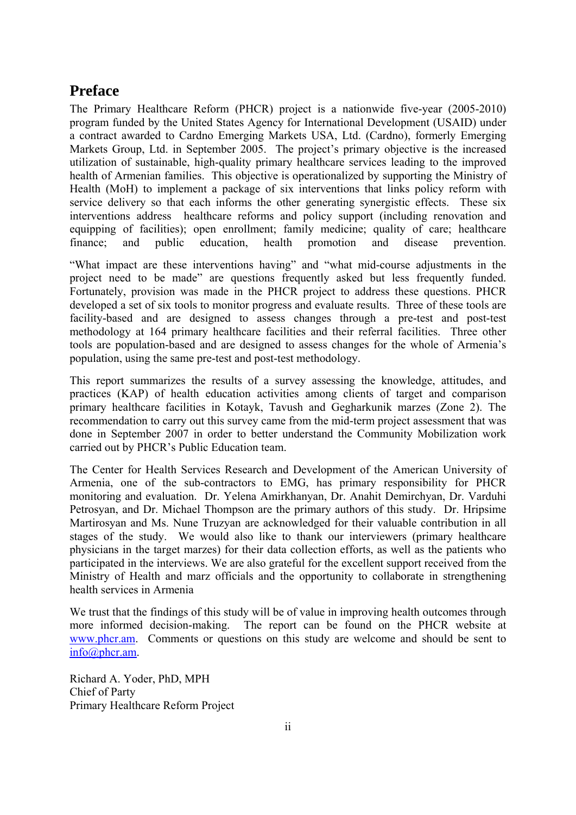### <span id="page-2-0"></span>**Preface**

The Primary Healthcare Reform (PHCR) project is a nationwide five-year (2005-2010) program funded by the United States Agency for International Development (USAID) under a contract awarded to Cardno Emerging Markets USA, Ltd. (Cardno), formerly [Emerging](http://www.emergingmarketsgroup.com/)  [Markets Group, Ltd.](http://www.emergingmarketsgroup.com/) in September 2005. The project's primary objective is the increased utilization of sustainable, high-quality primary healthcare services leading to the improved health of Armenian families. This objective is operationalized by supporting the Ministry of Health (MoH) to implement a package of six interventions that links policy reform with service delivery so that each informs the other generating synergistic effects. These six interventions address healthcare reforms and policy support (including renovation and equipping of facilities); open enrollment; family medicine; quality of care; healthcare finance; and public education, health promotion and disease prevention.

"What impact are these interventions having" and "what mid-course adjustments in the project need to be made" are questions frequently asked but less frequently funded. Fortunately, provision was made in the PHCR project to address these questions. PHCR developed a set of six tools to monitor progress and evaluate results. Three of these tools are facility-based and are designed to assess changes through a pre-test and post-test methodology at 164 primary healthcare facilities and their referral facilities. Three other tools are population-based and are designed to assess changes for the whole of Armenia's population, using the same pre-test and post-test methodology.

This report summarizes the results of a survey assessing the knowledge, attitudes, and practices (KAP) of health education activities among clients of target and comparison primary healthcare facilities in Kotayk, Tavush and Gegharkunik marzes (Zone 2). The recommendation to carry out this survey came from the mid-term project assessment that was done in September 2007 in order to better understand the Community Mobilization work carried out by PHCR's Public Education team.

The Center for Health Services Research and Development of the American University of Armenia, one of the sub-contractors to EMG, has primary responsibility for PHCR monitoring and evaluation. Dr. Yelena Amirkhanyan, Dr. Anahit Demirchyan, Dr. Varduhi Petrosyan, and Dr. Michael Thompson are the primary authors of this study. Dr. Hripsime Martirosyan and Ms. Nune Truzyan are acknowledged for their valuable contribution in all stages of the study. We would also like to thank our interviewers (primary healthcare physicians in the target marzes) for their data collection efforts, as well as the patients who participated in the interviews. We are also grateful for the excellent support received from the Ministry of Health and marz officials and the opportunity to collaborate in strengthening health services in Armenia

We trust that the findings of this study will be of value in improving health outcomes through more informed decision-making. The report can be found on the PHCR website at [www.phcr.am.](http://www.phcr.am/) Comments or questions on this study are welcome and should be sent to [info@phcr.am](mailto:info@phcr.am).

Richard A. Yoder, PhD, MPH Chief of Party Primary Healthcare Reform Project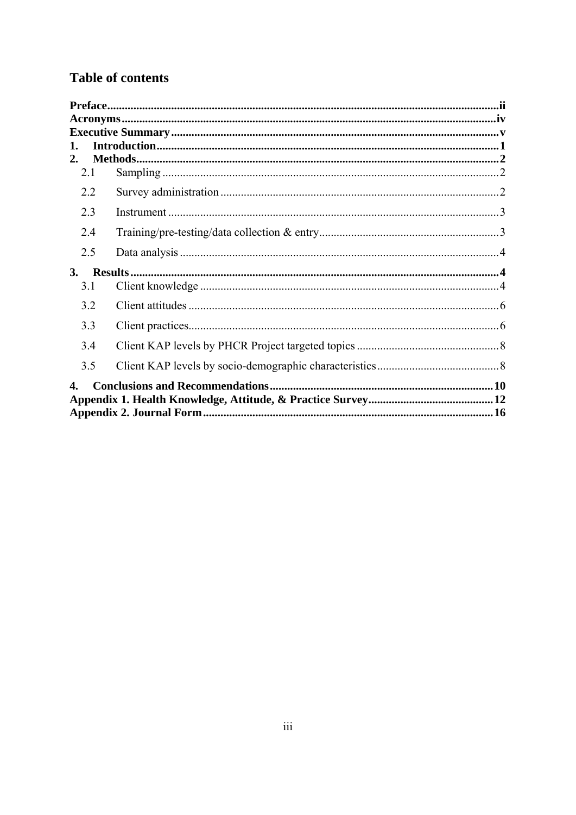# **Table of contents**

| 1.  |  |
|-----|--|
| 2.  |  |
| 2.1 |  |
| 2.2 |  |
| 2.3 |  |
| 2.4 |  |
| 2.5 |  |
| 3.  |  |
| 3.1 |  |
| 3.2 |  |
| 3.3 |  |
| 3.4 |  |
| 3.5 |  |
| 4.  |  |
|     |  |
|     |  |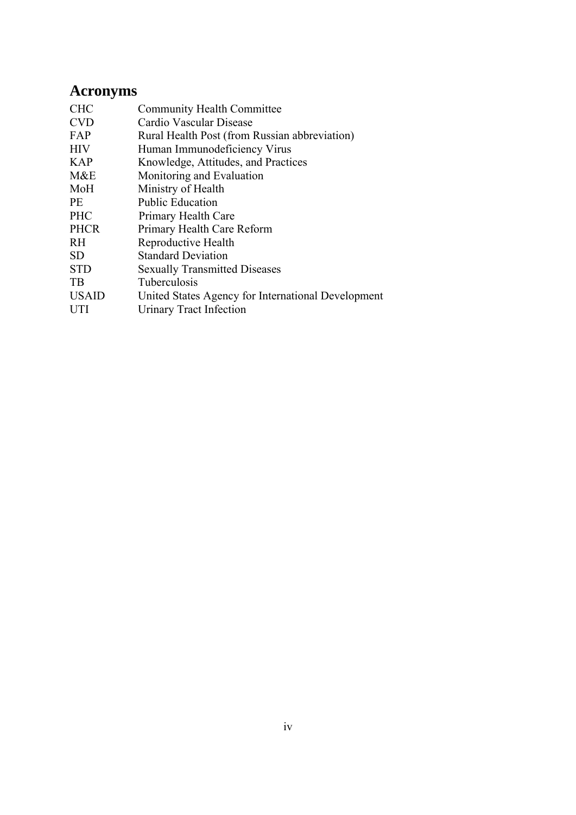# <span id="page-4-0"></span>**Acronyms**

| <b>CHC</b>   | <b>Community Health Committee</b>                  |
|--------------|----------------------------------------------------|
| <b>CVD</b>   | Cardio Vascular Disease                            |
| FAP          | Rural Health Post (from Russian abbreviation)      |
| <b>HIV</b>   | Human Immunodeficiency Virus                       |
| <b>KAP</b>   | Knowledge, Attitudes, and Practices                |
| M&E          | Monitoring and Evaluation                          |
| MoH          | Ministry of Health                                 |
| <b>PE</b>    | <b>Public Education</b>                            |
| <b>PHC</b>   | Primary Health Care                                |
| <b>PHCR</b>  | Primary Health Care Reform                         |
| <b>RH</b>    | Reproductive Health                                |
| <b>SD</b>    | <b>Standard Deviation</b>                          |
| <b>STD</b>   | <b>Sexually Transmitted Diseases</b>               |
| <b>TB</b>    | Tuberculosis                                       |
| <b>USAID</b> | United States Agency for International Development |
| <b>UTI</b>   | Urinary Tract Infection                            |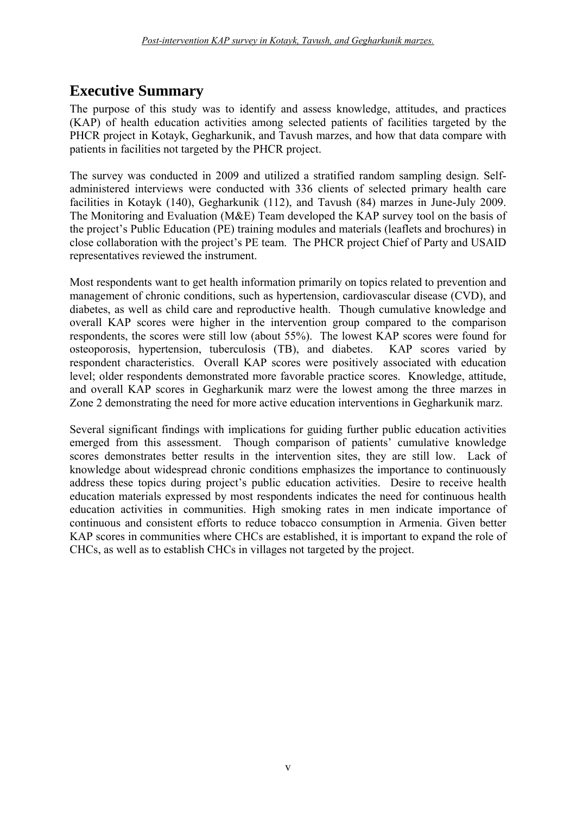# <span id="page-5-0"></span>**Executive Summary**

The purpose of this study was to identify and assess knowledge, attitudes, and practices (KAP) of health education activities among selected patients of facilities targeted by the PHCR project in Kotayk, Gegharkunik, and Tavush marzes, and how that data compare with patients in facilities not targeted by the PHCR project.

The survey was conducted in 2009 and utilized a stratified random sampling design. Selfadministered interviews were conducted with 336 clients of selected primary health care facilities in Kotayk (140), Gegharkunik (112), and Tavush (84) marzes in June-July 2009. The Monitoring and Evaluation (M&E) Team developed the KAP survey tool on the basis of the project's Public Education (PE) training modules and materials (leaflets and brochures) in close collaboration with the project's PE team. The PHCR project Chief of Party and USAID representatives reviewed the instrument.

Most respondents want to get health information primarily on topics related to prevention and management of chronic conditions, such as hypertension, cardiovascular disease (CVD), and diabetes, as well as child care and reproductive health. Though cumulative knowledge and overall KAP scores were higher in the intervention group compared to the comparison respondents, the scores were still low (about 55%). The lowest KAP scores were found for osteoporosis, hypertension, tuberculosis (TB), and diabetes. KAP scores varied by respondent characteristics. Overall KAP scores were positively associated with education level; older respondents demonstrated more favorable practice scores. Knowledge, attitude, and overall KAP scores in Gegharkunik marz were the lowest among the three marzes in Zone 2 demonstrating the need for more active education interventions in Gegharkunik marz.

Several significant findings with implications for guiding further public education activities emerged from this assessment. Though comparison of patients' cumulative knowledge scores demonstrates better results in the intervention sites, they are still low. Lack of knowledge about widespread chronic conditions emphasizes the importance to continuously address these topics during project's public education activities. Desire to receive health education materials expressed by most respondents indicates the need for continuous health education activities in communities. High smoking rates in men indicate importance of continuous and consistent efforts to reduce tobacco consumption in Armenia. Given better KAP scores in communities where CHCs are established, it is important to expand the role of CHCs, as well as to establish CHCs in villages not targeted by the project.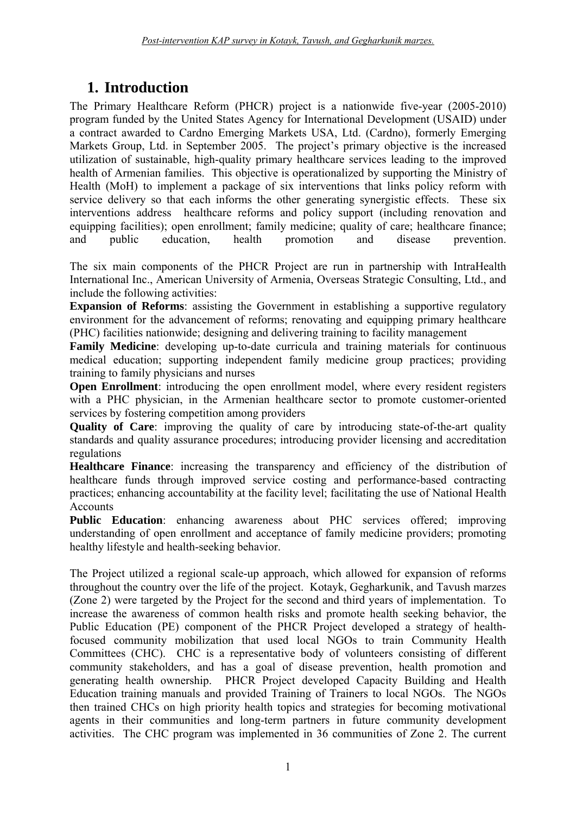# **1. Introduction**

<span id="page-6-0"></span>The Primary Healthcare Reform (PHCR) project is a nationwide five-year (2005-2010) program funded by the United States Agency for International Development (USAID) under a contract awarded to Cardno Emerging Markets USA, Ltd. (Cardno), formerly [Emerging](http://www.emergingmarketsgroup.com/)  [Markets Group, Ltd.](http://www.emergingmarketsgroup.com/) in September 2005. The project's primary objective is the increased utilization of sustainable, high-quality primary healthcare services leading to the improved health of Armenian families. This objective is operationalized by supporting the Ministry of Health (MoH) to implement a package of six interventions that links policy reform with service delivery so that each informs the other generating synergistic effects. These six interventions address healthcare reforms and policy support (including renovation and equipping facilities); open enrollment; family medicine; quality of care; healthcare finance; and public education, health promotion and disease prevention and public education, health promotion and disease prevention.

The six main components of the PHCR Project are run in partnership with IntraHealth International Inc., American University of Armenia, Overseas Strategic Consulting, Ltd., and include the following activities:

**Expansion of Reforms**: assisting the Government in establishing a supportive regulatory environment for the advancement of reforms; renovating and equipping primary healthcare (PHC) facilities nationwide; designing and delivering training to facility management

**Family Medicine**: developing up-to-date curricula and training materials for continuous medical education; supporting independent family medicine group practices; providing training to family physicians and nurses

**Open Enrollment**: introducing the open enrollment model, where every resident registers with a PHC physician, in the Armenian healthcare sector to promote customer-oriented services by fostering competition among providers

**Quality of Care**: improving the quality of care by introducing state-of-the-art quality standards and quality assurance procedures; introducing provider licensing and accreditation regulations

**Healthcare Finance**: increasing the transparency and efficiency of the distribution of healthcare funds through improved service costing and performance-based contracting practices; enhancing accountability at the facility level; facilitating the use of National Health Accounts

**Public Education**: enhancing awareness about PHC services offered; improving understanding of open enrollment and acceptance of family medicine providers; promoting healthy lifestyle and health-seeking behavior.

The Project utilized a regional scale-up approach, which allowed for expansion of reforms throughout the country over the life of the project. Kotayk, Gegharkunik, and Tavush marzes (Zone 2) were targeted by the Project for the second and third years of implementation. To increase the awareness of common health risks and promote health seeking behavior, the Public Education (PE) component of the PHCR Project developed a strategy of healthfocused community mobilization that used local NGOs to train Community Health Committees (CHC). CHC is a representative body of volunteers consisting of different community stakeholders, and has a goal of disease prevention, health promotion and generating health ownership. PHCR Project developed Capacity Building and Health Education training manuals and provided Training of Trainers to local NGOs. The NGOs then trained CHCs on high priority health topics and strategies for becoming motivational agents in their communities and long-term partners in future community development activities. The CHC program was implemented in 36 communities of Zone 2. The current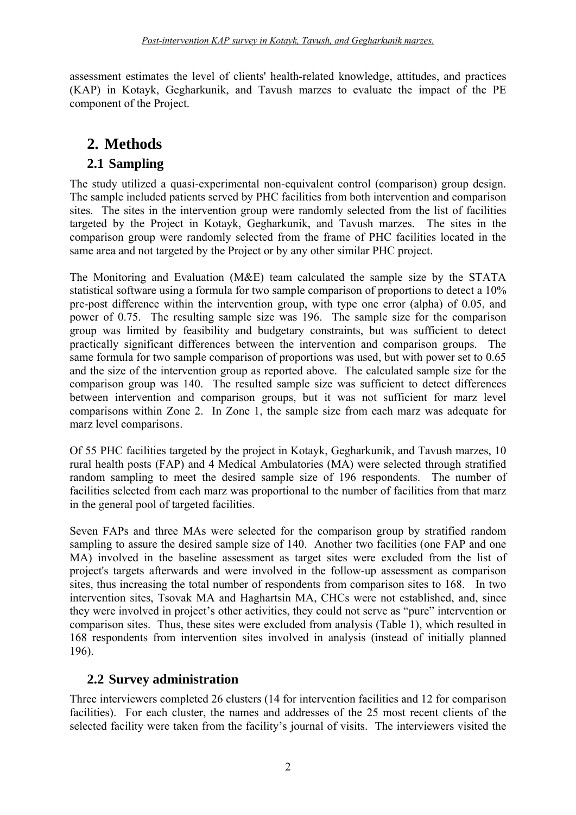assessment estimates the level of clients' health-related knowledge, attitudes, and practices (KAP) in Kotayk, Gegharkunik, and Tavush marzes to evaluate the impact of the PE component of the Project.

# **2. Methods**

### **2.1 Sampling**

<span id="page-7-1"></span><span id="page-7-0"></span>The study utilized a quasi-experimental non-equivalent control (comparison) group design. The sample included patients served by PHC facilities from both intervention and comparison sites. The sites in the intervention group were randomly selected from the list of facilities targeted by the Project in Kotayk, Gegharkunik, and Tavush marzes. The sites in the comparison group were randomly selected from the frame of PHC facilities located in the same area and not targeted by the Project or by any other similar PHC project.

The Monitoring and Evaluation (M&E) team calculated the sample size by the STATA statistical software using a formula for two sample comparison of proportions to detect a 10% pre-post difference within the intervention group, with type one error (alpha) of 0.05, and power of 0.75. The resulting sample size was 196. The sample size for the comparison group was limited by feasibility and budgetary constraints, but was sufficient to detect practically significant differences between the intervention and comparison groups. The same formula for two sample comparison of proportions was used, but with power set to 0.65 and the size of the intervention group as reported above. The calculated sample size for the comparison group was 140. The resulted sample size was sufficient to detect differences between intervention and comparison groups, but it was not sufficient for marz level comparisons within Zone 2. In Zone 1, the sample size from each marz was adequate for marz level comparisons.

Of 55 PHC facilities targeted by the project in Kotayk, Gegharkunik, and Tavush marzes, 10 rural health posts (FAP) and 4 Medical Ambulatories (MA) were selected through stratified random sampling to meet the desired sample size of 196 respondents. The number of facilities selected from each marz was proportional to the number of facilities from that marz in the general pool of targeted facilities.

Seven FAPs and three MAs were selected for the comparison group by stratified random sampling to assure the desired sample size of 140. Another two facilities (one FAP and one MA) involved in the baseline assessment as target sites were excluded from the list of project's targets afterwards and were involved in the follow-up assessment as comparison sites, thus increasing the total number of respondents from comparison sites to 168. In two intervention sites, Tsovak MA and Haghartsin MA, CHCs were not established, and, since they were involved in project's other activities, they could not serve as "pure" intervention or comparison sites. Thus, these sites were excluded from analysis (Table 1), which resulted in 168 respondents from intervention sites involved in analysis (instead of initially planned 196).

### **2.2 Survey administration**

<span id="page-7-2"></span>Three interviewers completed 26 clusters (14 for intervention facilities and 12 for comparison facilities). For each cluster, the names and addresses of the 25 most recent clients of the selected facility were taken from the facility's journal of visits. The interviewers visited the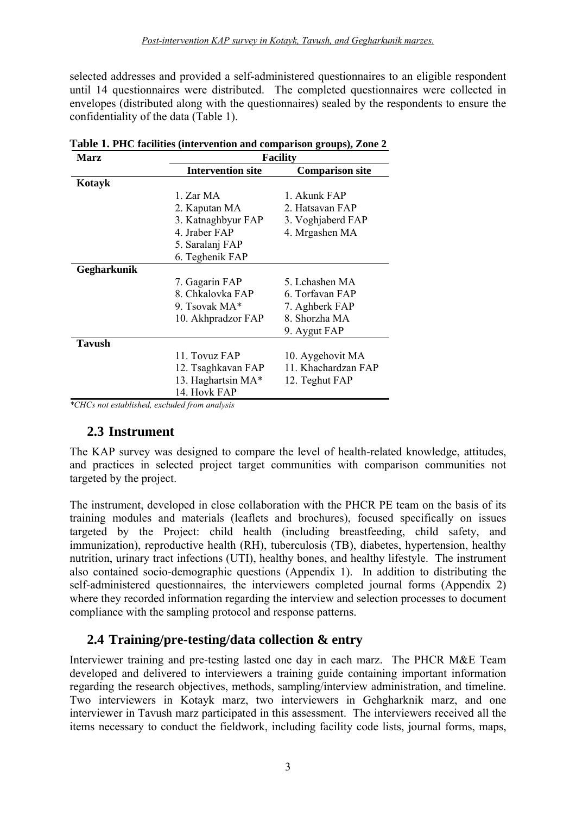selected addresses and provided a self-administered questionnaires to an eligible respondent until 14 questionnaires were distributed. The completed questionnaires were collected in envelopes (distributed along with the questionnaires) sealed by the respondents to ensure the confidentiality of the data (Table 1).

| Marz          | <b>Facility</b>          |                        |  |  |  |
|---------------|--------------------------|------------------------|--|--|--|
|               | <b>Intervention site</b> | <b>Comparison site</b> |  |  |  |
| Kotayk        |                          |                        |  |  |  |
|               | 1. Zar MA                | 1. Akunk FAP           |  |  |  |
|               | 2. Kaputan MA            | 2. Hatsavan FAP        |  |  |  |
|               | 3. Katnaghbyur FAP       | 3. Voghjaberd FAP      |  |  |  |
|               | 4. Jraber FAP            | 4. Mrgashen MA         |  |  |  |
|               | 5. Saralanj FAP          |                        |  |  |  |
|               | 6. Teghenik FAP          |                        |  |  |  |
| Gegharkunik   |                          |                        |  |  |  |
|               | 7. Gagarin FAP           | 5. Lchashen MA         |  |  |  |
|               | 8. Chkalovka FAP         | 6. Torfavan FAP        |  |  |  |
|               | 9. Tsovak MA*            | 7. Aghberk FAP         |  |  |  |
|               | 10. Akhpradzor FAP       | 8. Shorzha MA          |  |  |  |
|               |                          | 9. Aygut FAP           |  |  |  |
| <b>Tavush</b> |                          |                        |  |  |  |
|               | 11. Tovuz FAP            | 10. Aygehovit MA       |  |  |  |
|               | 12. Tsaghkavan FAP       | 11. Khachardzan FAP    |  |  |  |
|               | 13. Haghartsin MA*       | 12. Teghut FAP         |  |  |  |
|               | 14. Hovk FAP             |                        |  |  |  |

**Table 1. PHC facilities (intervention and comparison groups), Zone 2** 

*\*CHCs not established, excluded from analysis* 

### **2.3 Instrument**

<span id="page-8-0"></span>The KAP survey was designed to compare the level of health-related knowledge, attitudes, and practices in selected project target communities with comparison communities not targeted by the project.

The instrument, developed in close collaboration with the PHCR PE team on the basis of its training modules and materials (leaflets and brochures), focused specifically on issues targeted by the Project: child health (including breastfeeding, child safety, and immunization), reproductive health (RH), tuberculosis (TB), diabetes, hypertension, healthy nutrition, urinary tract infections (UTI), healthy bones, and healthy lifestyle. The instrument also contained socio-demographic questions (Appendix 1). In addition to distributing the self-administered questionnaires, the interviewers completed journal forms (Appendix 2) where they recorded information regarding the interview and selection processes to document compliance with the sampling protocol and response patterns.

### **2.4 Training/pre-testing/data collection & entry**

<span id="page-8-1"></span>Interviewer training and pre-testing lasted one day in each marz. The PHCR M&E Team developed and delivered to interviewers a training guide containing important information regarding the research objectives, methods, sampling/interview administration, and timeline. Two interviewers in Kotayk marz, two interviewers in Gehgharknik marz, and one interviewer in Tavush marz participated in this assessment. The interviewers received all the items necessary to conduct the fieldwork, including facility code lists, journal forms, maps,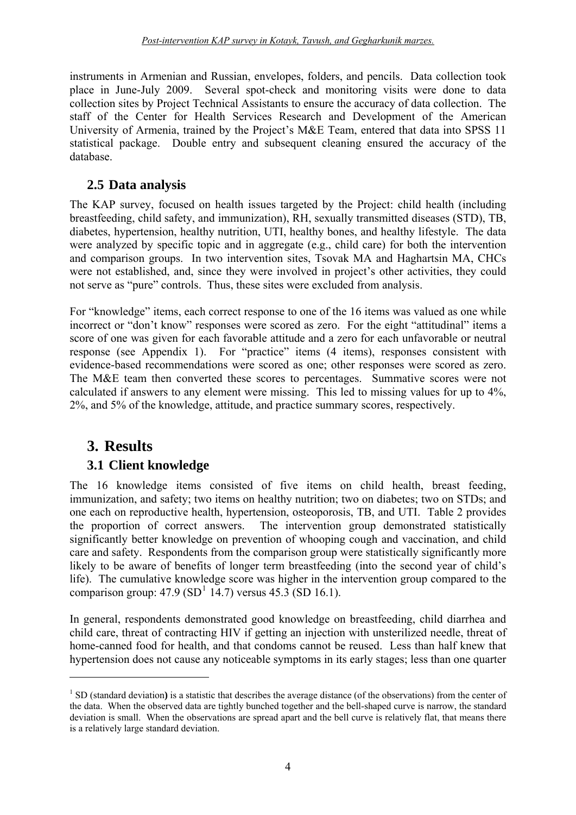instruments in Armenian and Russian, envelopes, folders, and pencils. Data collection took place in June-July 2009. Several spot-check and monitoring visits were done to data collection sites by Project Technical Assistants to ensure the accuracy of data collection. The staff of the Center for Health Services Research and Development of the American University of Armenia, trained by the Project's M&E Team, entered that data into SPSS 11 statistical package. Double entry and subsequent cleaning ensured the accuracy of the database.

### **2.5 Data analysis**

<span id="page-9-0"></span>The KAP survey, focused on health issues targeted by the Project: child health (including breastfeeding, child safety, and immunization), RH, sexually transmitted diseases (STD), TB, diabetes, hypertension, healthy nutrition, UTI, healthy bones, and healthy lifestyle. The data were analyzed by specific topic and in aggregate (e.g., child care) for both the intervention and comparison groups. In two intervention sites, Tsovak MA and Haghartsin MA, CHCs were not established, and, since they were involved in project's other activities, they could not serve as "pure" controls. Thus, these sites were excluded from analysis.

For "knowledge" items, each correct response to one of the 16 items was valued as one while incorrect or "don't know" responses were scored as zero. For the eight "attitudinal" items a score of one was given for each favorable attitude and a zero for each unfavorable or neutral response (see Appendix 1). For "practice" items (4 items), responses consistent with evidence-based recommendations were scored as one; other responses were scored as zero. The M&E team then converted these scores to percentages. Summative scores were not calculated if answers to any element were missing. This led to missing values for up to 4%, 2%, and 5% of the knowledge, attitude, and practice summary scores, respectively.

# **3. Results**

<u>.</u>

### **3.1 Client knowledge**

<span id="page-9-2"></span><span id="page-9-1"></span>The 16 knowledge items consisted of five items on child health, breast feeding, immunization, and safety; two items on healthy nutrition; two on diabetes; two on STDs; and one each on reproductive health, hypertension, osteoporosis, TB, and UTI. Table 2 provides the proportion of correct answers. The intervention group demonstrated statistically significantly better knowledge on prevention of whooping cough and vaccination, and child care and safety. Respondents from the comparison group were statistically significantly more likely to be aware of benefits of longer term breastfeeding (into the second year of child's life). The cumulative knowledge score was higher in the intervention group compared to the comparison group:  $47.9 \text{ (SD}^1\ 14.7)$  $47.9 \text{ (SD}^1\ 14.7)$  $47.9 \text{ (SD}^1\ 14.7)$  versus  $45.3 \text{ (SD } 16.1)$ .

In general, respondents demonstrated good knowledge on breastfeeding, child diarrhea and child care, threat of contracting HIV if getting an injection with unsterilized needle, threat of home-canned food for health, and that condoms cannot be reused. Less than half knew that hypertension does not cause any noticeable symptoms in its early stages; less than one quarter

<span id="page-9-3"></span><sup>&</sup>lt;sup>1</sup> SD (standard deviation) is a statistic that describes the average distance (of the observations) from the center of the data. When the observed data are tightly bunched together and the bell-shaped curve is narrow, the standard deviation is small. When the observations are spread apart and the bell curve is relatively flat, that means there is a relatively large standard deviation.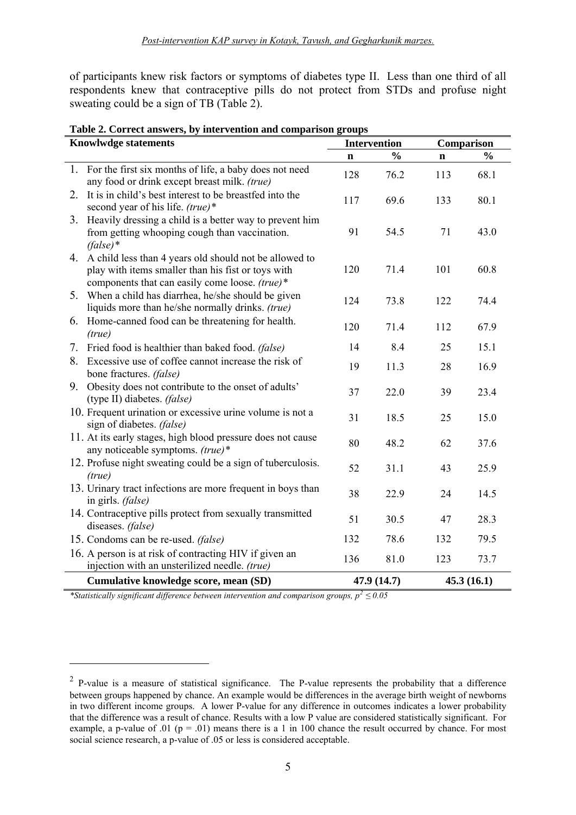of participants knew risk factors or symptoms of diabetes type II. Less than one third of all respondents knew that contraceptive pills do not protect from STDs and profuse night sweating could be a sign of TB (Table 2).

| <b>Knowlwdge statements</b> |                                                                                                                                                                   |             | <b>Intervention</b> | Comparison  |               |
|-----------------------------|-------------------------------------------------------------------------------------------------------------------------------------------------------------------|-------------|---------------------|-------------|---------------|
|                             |                                                                                                                                                                   | $\mathbf n$ | $\frac{0}{0}$       | $\mathbf n$ | $\frac{0}{0}$ |
| 1.                          | For the first six months of life, a baby does not need<br>any food or drink except breast milk. (true)                                                            | 128         | 76.2                | 113         | 68.1          |
|                             | 2. It is in child's best interest to be breastfed into the<br>second year of his life. (true)*                                                                    | 117         | 69.6                | 133         | 80.1          |
|                             | 3. Heavily dressing a child is a better way to prevent him<br>from getting whooping cough than vaccination.<br>$(false)*$                                         | 91          | 54.5                | 71          | 43.0          |
|                             | 4. A child less than 4 years old should not be allowed to<br>play with items smaller than his fist or toys with<br>components that can easily come loose. (true)* | 120         | 71.4                | 101         | 60.8          |
| 5.                          | When a child has diarrhea, he/she should be given<br>liquids more than he/she normally drinks. (true)                                                             | 124         | 73.8                | 122         | 74.4          |
|                             | 6. Home-canned food can be threatening for health.<br>(true)                                                                                                      | 120         | 71.4                | 112         | 67.9          |
| 7.                          | Fried food is healthier than baked food. (false)                                                                                                                  | 14          | 8.4                 | 25          | 15.1          |
| 8.                          | Excessive use of coffee cannot increase the risk of<br>bone fractures. (false)                                                                                    | 19          | 11.3                | 28          | 16.9          |
|                             | 9. Obesity does not contribute to the onset of adults'<br>(type II) diabetes. (false)                                                                             | 37          | 22.0                | 39          | 23.4          |
|                             | 10. Frequent urination or excessive urine volume is not a<br>sign of diabetes. (false)                                                                            | 31          | 18.5                | 25          | 15.0          |
|                             | 11. At its early stages, high blood pressure does not cause<br>any noticeable symptoms. (true)*                                                                   | 80          | 48.2                | 62          | 37.6          |
|                             | 12. Profuse night sweating could be a sign of tuberculosis.<br>(true)                                                                                             | 52          | 31.1                | 43          | 25.9          |
|                             | 13. Urinary tract infections are more frequent in boys than<br>in girls. (false)                                                                                  | 38          | 22.9                | 24          | 14.5          |
|                             | 14. Contraceptive pills protect from sexually transmitted<br>diseases. (false)                                                                                    | 51          | 30.5                | 47          | 28.3          |
|                             | 15. Condoms can be re-used. (false)                                                                                                                               | 132         | 78.6                | 132         | 79.5          |
|                             | 16. A person is at risk of contracting HIV if given an<br>injection with an unsterilized needle. (true)                                                           | 136         | 81.0                | 123         | 73.7          |
|                             | Cumulative knowledge score, mean (SD)                                                                                                                             |             | 47.9 (14.7)         |             | 45.3(16.1)    |

**Table 2. Correct answers, by intervention and comparison groups** 

*\*Statistically significant difference between intervention and comparison groups, p[2](#page-10-0) ≤ 0.05* 

1

<span id="page-10-0"></span><sup>&</sup>lt;sup>2</sup> P-value is a measure of statistical significance. The P-value represents the probability that a difference between groups happened by chance. An example would be differences in the average birth weight of newborns in two different income groups. A lower P-value for any difference in outcomes indicates a lower probability that the difference was a result of chance. Results with a low P value are considered statistically significant. For example, a p-value of .01 ( $p = .01$ ) means there is a 1 in 100 chance the result occurred by chance. For most social science research, a p-value of .05 or less is considered acceptable.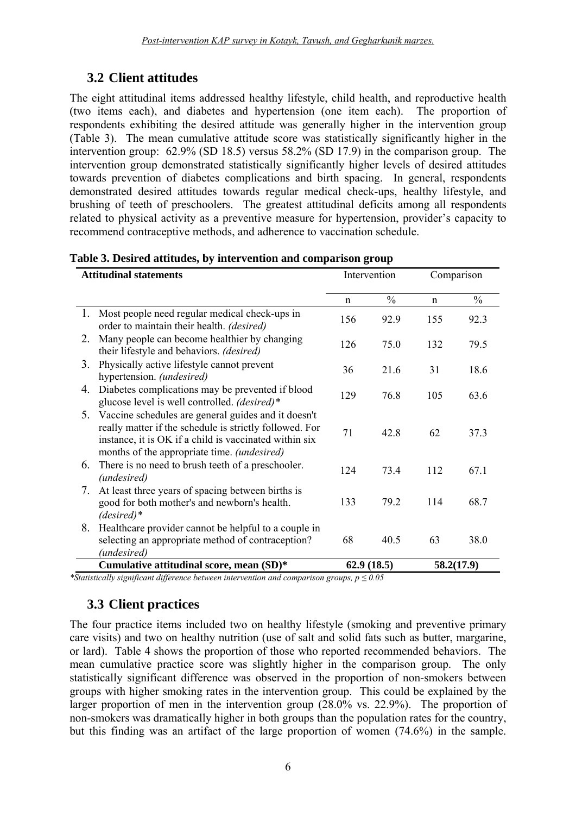# **3.2 Client attitudes**

<span id="page-11-0"></span>The eight attitudinal items addressed healthy lifestyle, child health, and reproductive health (two items each), and diabetes and hypertension (one item each). The proportion of respondents exhibiting the desired attitude was generally higher in the intervention group (Table 3). The mean cumulative attitude score was statistically significantly higher in the intervention group: 62.9% (SD 18.5) versus 58.2% (SD 17.9) in the comparison group. The intervention group demonstrated statistically significantly higher levels of desired attitudes towards prevention of diabetes complications and birth spacing. In general, respondents demonstrated desired attitudes towards regular medical check-ups, healthy lifestyle, and brushing of teeth of preschoolers. The greatest attitudinal deficits among all respondents related to physical activity as a preventive measure for hypertension, provider's capacity to recommend contraceptive methods, and adherence to vaccination schedule.

| <b>Attitudinal statements</b> |                                                                                                                                                                                                                                | Intervention |               | Comparison  |               |
|-------------------------------|--------------------------------------------------------------------------------------------------------------------------------------------------------------------------------------------------------------------------------|--------------|---------------|-------------|---------------|
|                               |                                                                                                                                                                                                                                | $\mathbf n$  | $\frac{0}{0}$ | $\mathbf n$ | $\frac{0}{0}$ |
|                               | 1. Most people need regular medical check-ups in<br>order to maintain their health. (desired)                                                                                                                                  | 156          | 92.9          | 155         | 92.3          |
| 2.                            | Many people can become healthier by changing<br>their lifestyle and behaviors. (desired)                                                                                                                                       | 126          | 75.0          | 132         | 79.5          |
| 3.                            | Physically active lifestyle cannot prevent<br>hypertension. (undesired)                                                                                                                                                        | 36           | 21.6          | 31          | 18.6          |
| 4.                            | Diabetes complications may be prevented if blood<br>glucose level is well controlled. (desired)*                                                                                                                               | 129          | 76.8          | 105         | 63.6          |
| 5.                            | Vaccine schedules are general guides and it doesn't<br>really matter if the schedule is strictly followed. For<br>instance, it is OK if a child is vaccinated within six<br>months of the appropriate time. <i>(undesired)</i> | 71           | 42.8          | 62          | 37.3          |
| 6.                            | There is no need to brush teeth of a preschooler.<br>(undesired)                                                                                                                                                               | 124          | 73.4          | 112         | 67.1          |
| 7.                            | At least three years of spacing between births is<br>good for both mother's and newborn's health.<br>$(desired)*$                                                                                                              | 133          | 79.2          | 114         | 68.7          |
| 8.                            | Healthcare provider cannot be helpful to a couple in<br>selecting an appropriate method of contraception?<br>(undesired)                                                                                                       | 68           | 40.5          | 63          | 38.0          |
|                               | Cumulative attitudinal score, mean (SD)*                                                                                                                                                                                       |              | 62.9(18.5)    |             | 58.2(17.9)    |

#### **Table 3. Desired attitudes, by intervention and comparison group**

*\*Statistically significant difference between intervention and comparison groups, p ≤ 0.05* 

### **3.3 Client practices**

<span id="page-11-1"></span>The four practice items included two on healthy lifestyle (smoking and preventive primary care visits) and two on healthy nutrition (use of salt and solid fats such as butter, margarine, or lard). Table 4 shows the proportion of those who reported recommended behaviors. The mean cumulative practice score was slightly higher in the comparison group. The only statistically significant difference was observed in the proportion of non-smokers between groups with higher smoking rates in the intervention group. This could be explained by the larger proportion of men in the intervention group (28.0% vs. 22.9%). The proportion of non-smokers was dramatically higher in both groups than the population rates for the country, but this finding was an artifact of the large proportion of women (74.6%) in the sample.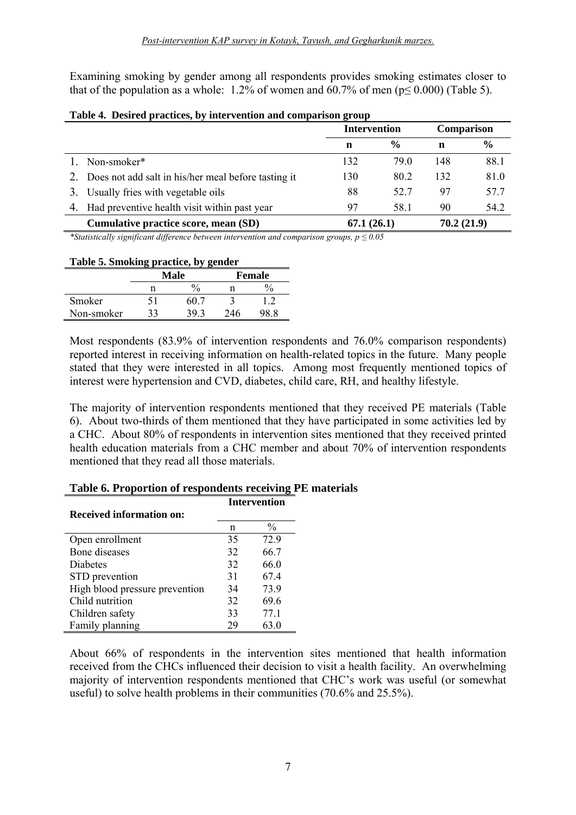Examining smoking by gender among all respondents provides smoking estimates closer to that of the population as a whole: 1.2% of women and 60.7% of men ( $p \le 0.000$ ) (Table 5).

|                                                     | <b>Intervention</b> |               | Comparison |               |
|-----------------------------------------------------|---------------------|---------------|------------|---------------|
|                                                     | n                   | $\frac{6}{6}$ | n          | $\frac{0}{0}$ |
| Non-smoker*                                         | 132                 | 79.0          | 148        | 88.1          |
| Does not add salt in his/her meal before tasting it | 130                 | 80.2          | 132        | 81.0          |
| Usually fries with vegetable oils                   | 88                  | 52.7          | 97         | 57.7          |
| 4. Had preventive health visit within past year     | 97                  | 58.1          | 90         | 54.2          |
| Cumulative practice score, mean (SD)                | 67.1(26.1)          |               | 70.2(21.9) |               |

#### **Table 4. Desired practices, by intervention and comparison group**

*\*Statistically significant difference between intervention and comparison groups, p ≤ 0.05* 

#### **Table 5. Smoking practice, by gender**

|            | <b>Male</b>        |      |     | Female |
|------------|--------------------|------|-----|--------|
|            | $\frac{0}{0}$<br>n |      |     |        |
| Smoker     |                    | 60 ° |     |        |
| Non-smoker |                    | 39.  | 246 |        |

Most respondents (83.9% of intervention respondents and 76.0% comparison respondents) reported interest in receiving information on health-related topics in the future. Many people stated that they were interested in all topics. Among most frequently mentioned topics of interest were hypertension and CVD, diabetes, child care, RH, and healthy lifestyle.

The majority of intervention respondents mentioned that they received PE materials (Table 6). About two-thirds of them mentioned that they have participated in some activities led by a CHC. About 80% of respondents in intervention sites mentioned that they received printed health education materials from a CHC member and about 70% of intervention respondents mentioned that they read all those materials.

|                                 | <b>Intervention</b> |               |  |
|---------------------------------|---------------------|---------------|--|
| <b>Received information on:</b> |                     |               |  |
|                                 | n                   | $\frac{0}{0}$ |  |
| Open enrollment                 | 35                  | 72.9          |  |
| Bone diseases                   | 32                  | 66.7          |  |
| <b>Diabetes</b>                 | 32                  | 66.0          |  |
| STD prevention                  | 31                  | 67.4          |  |
| High blood pressure prevention  | 34                  | 73.9          |  |
| Child nutrition                 | 32                  | 69.6          |  |
| Children safety                 | 33                  | 77.1          |  |
| Family planning                 | 29                  |               |  |

#### **Table 6. Proportion of respondents receiving PE materials**

About 66% of respondents in the intervention sites mentioned that health information received from the CHCs influenced their decision to visit a health facility. An overwhelming majority of intervention respondents mentioned that CHC's work was useful (or somewhat useful) to solve health problems in their communities (70.6% and 25.5%).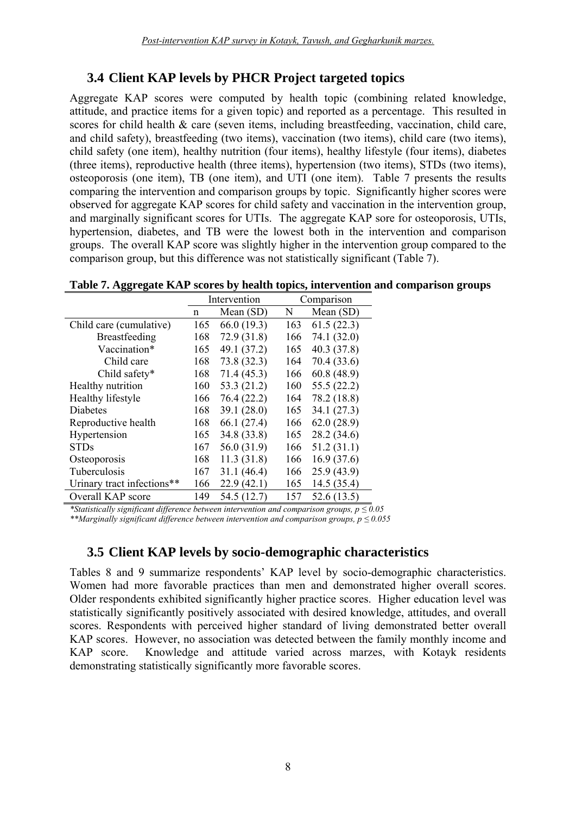### **3.4 Client KAP levels by PHCR Project targeted topics**

<span id="page-13-0"></span>Aggregate KAP scores were computed by health topic (combining related knowledge, attitude, and practice items for a given topic) and reported as a percentage. This resulted in scores for child health & care (seven items, including breastfeeding, vaccination, child care, and child safety), breastfeeding (two items), vaccination (two items), child care (two items), child safety (one item), healthy nutrition (four items), healthy lifestyle (four items), diabetes (three items), reproductive health (three items), hypertension (two items), STDs (two items), osteoporosis (one item), TB (one item), and UTI (one item). Table 7 presents the results comparing the intervention and comparison groups by topic. Significantly higher scores were observed for aggregate KAP scores for child safety and vaccination in the intervention group, and marginally significant scores for UTIs. The aggregate KAP sore for osteoporosis, UTIs, hypertension, diabetes, and TB were the lowest both in the intervention and comparison groups. The overall KAP score was slightly higher in the intervention group compared to the comparison group, but this difference was not statistically significant (Table 7).

**Table 7. Aggregate KAP scores by health topics, intervention and comparison groups** 

|                            | Intervention |             |     | Comparison  |
|----------------------------|--------------|-------------|-----|-------------|
|                            | n            | Mean (SD)   | N   | Mean (SD)   |
| Child care (cumulative)    | 165          | 66.0 (19.3) | 163 | 61.5(22.3)  |
| Breastfeeding              | 168          | 72.9(31.8)  | 166 | 74.1 (32.0) |
| Vaccination*               | 165          | 49.1 (37.2) | 165 | 40.3(37.8)  |
| Child care                 | 168          | 73.8(32.3)  | 164 | 70.4 (33.6) |
| Child safety*              | 168          | 71.4(45.3)  | 166 | 60.8(48.9)  |
| Healthy nutrition          | 160          | 53.3 (21.2) | 160 | 55.5(22.2)  |
| Healthy lifestyle          | 166          | 76.4(22.2)  | 164 | 78.2 (18.8) |
| <b>Diabetes</b>            | 168          | 39.1(28.0)  | 165 | 34.1(27.3)  |
| Reproductive health        | 168          | 66.1(27.4)  | 166 | 62.0(28.9)  |
| Hypertension               | 165          | 34.8 (33.8) | 165 | 28.2 (34.6) |
| <b>STDs</b>                | 167          | 56.0 (31.9) | 166 | 51.2(31.1)  |
| Osteoporosis               | 168          | 11.3(31.8)  | 166 | 16.9(37.6)  |
| Tuberculosis               | 167          | 31.1(46.4)  | 166 | 25.9(43.9)  |
| Urinary tract infections** | 166          | 22.9(42.1)  | 165 | 14.5(35.4)  |
| Overall KAP score          | 149          | 54.5 (12.7) | 157 | 52.6(13.5)  |

*\*Statistically significant difference between intervention and comparison groups, p ≤ 0.05 \*\*Marginally significant difference between intervention and comparison groups, p ≤ 0.055* 

### **3.5 Client KAP levels by socio-demographic characteristics**

<span id="page-13-1"></span>Tables 8 and 9 summarize respondents' KAP level by socio-demographic characteristics. Women had more favorable practices than men and demonstrated higher overall scores. Older respondents exhibited significantly higher practice scores. Higher education level was statistically significantly positively associated with desired knowledge, attitudes, and overall scores. Respondents with perceived higher standard of living demonstrated better overall KAP scores. However, no association was detected between the family monthly income and KAP score. Knowledge and attitude varied across marzes, with Kotayk residents demonstrating statistically significantly more favorable scores.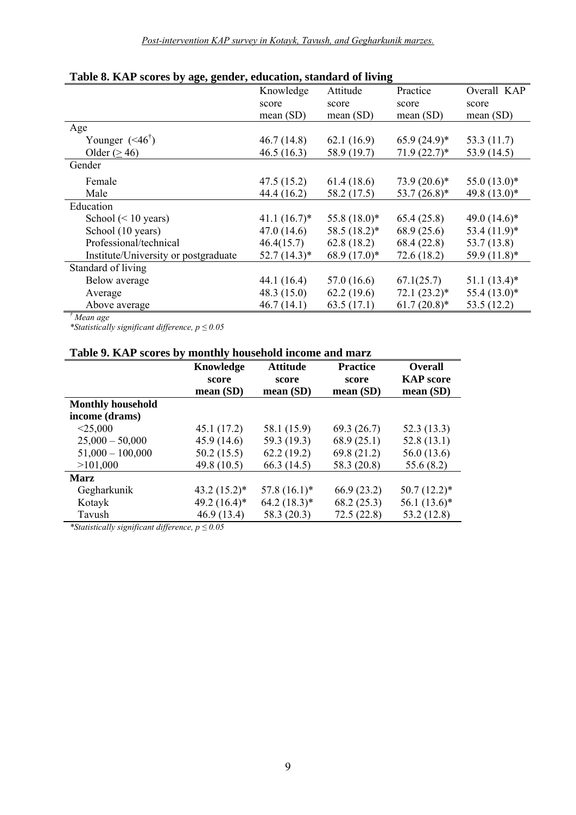|                                      | Knowledge      | Attitude       | Practice       | Overall KAP                |
|--------------------------------------|----------------|----------------|----------------|----------------------------|
|                                      | score          | score          | score          | score                      |
|                                      | mean $(SD)$    | mean $(SD)$    | mean $(SD)$    | mean $(SD)$                |
| Age                                  |                |                |                |                            |
| Younger $(46^{\dagger})$             | 46.7(14.8)     | 62.1(16.9)     | $65.9(24.9)*$  | 53.3 (11.7)                |
| Older $(>46)$                        | 46.5(16.3)     | 58.9 (19.7)    | $71.9(22.7)^*$ | 53.9 (14.5)                |
| Gender                               |                |                |                |                            |
| Female                               | 47.5(15.2)     | 61.4(18.6)     | $73.9(20.6)*$  | $55.0(13.0)*$              |
| Male                                 | 44.4 (16.2)    | 58.2 (17.5)    | $53.7(26.8)^*$ | 49.8 $(13.0)$ *            |
| Education                            |                |                |                |                            |
| School $(< 10$ years)                | $41.1(16.7)^*$ | $55.8(18.0)^*$ | 65.4(25.8)     | 49.0 $(14.6)$ <sup>*</sup> |
| School (10 years)                    | 47.0(14.6)     | $58.5(18.2)^*$ | 68.9(25.6)     | $53.4(11.9)$ *             |
| Professional/technical               | 46.4(15.7)     | 62.8(18.2)     | 68.4(22.8)     | 53.7(13.8)                 |
| Institute/University or postgraduate | $52.7(14.3)^*$ | $68.9(17.0)*$  | 72.6(18.2)     | 59.9 (11.8)*               |
| Standard of living                   |                |                |                |                            |
| Below average                        | 44.1(16.4)     | 57.0(16.6)     | 67.1(25.7)     | $51.1(13.4)$ *             |
| Average                              | 48.3 $(15.0)$  | 62.2(19.6)     | $72.1(23.2)^*$ | $55.4(13.0)*$              |
| Above average                        | 46.7(14.1)     | 63.5(17.1)     | $61.7(20.8)*$  | 53.5 $(12.2)$              |

#### **Table 8. KAP scores by age, gender, education, standard of living**

*† Mean age* 

*\*Statistically significant difference, p ≤ 0.05* 

### **Table 9. KAP scores by monthly household income and marz**

|                          | Knowledge<br>score<br>mean(SD) | <b>Attitude</b><br>score<br>mean(SD) | <b>Practice</b><br>score<br>mean(SD) | <b>Overall</b><br><b>KAP</b> score<br>mean(SD) |
|--------------------------|--------------------------------|--------------------------------------|--------------------------------------|------------------------------------------------|
| <b>Monthly household</b> |                                |                                      |                                      |                                                |
| income (drams)           |                                |                                      |                                      |                                                |
| $<$ 25,000               | 45.1 (17.2)                    | 58.1 (15.9)                          | 69.3(26.7)                           | 52.3 (13.3)                                    |
| $25,000 - 50,000$        | 45.9(14.6)                     | 59.3 (19.3)                          | 68.9(25.1)                           | 52.8(13.1)                                     |
| $51,000 - 100,000$       | 50.2(15.5)                     | 62.2(19.2)                           | 69.8(21.2)                           | 56.0 (13.6)                                    |
| >101,000                 | 49.8 (10.5)                    | 66.3(14.5)                           | 58.3 (20.8)                          | 55.6(8.2)                                      |
| Marz                     |                                |                                      |                                      |                                                |
| Gegharkunik              | $43.2(15.2)^*$                 | $57.8(16.1)^*$                       | 66.9(23.2)                           | $50.7(12.2)^*$                                 |
| Kotayk                   | $49.2(16.4)^*$                 | $64.2(18.3)*$                        | 68.2(25.3)                           | $56.1(13.6)*$                                  |
| Tavush                   | 46.9(13.4)                     | 58.3 (20.3)                          | 72.5(22.8)                           | 53.2 (12.8)                                    |

*\*Statistically significant difference, p ≤ 0.05*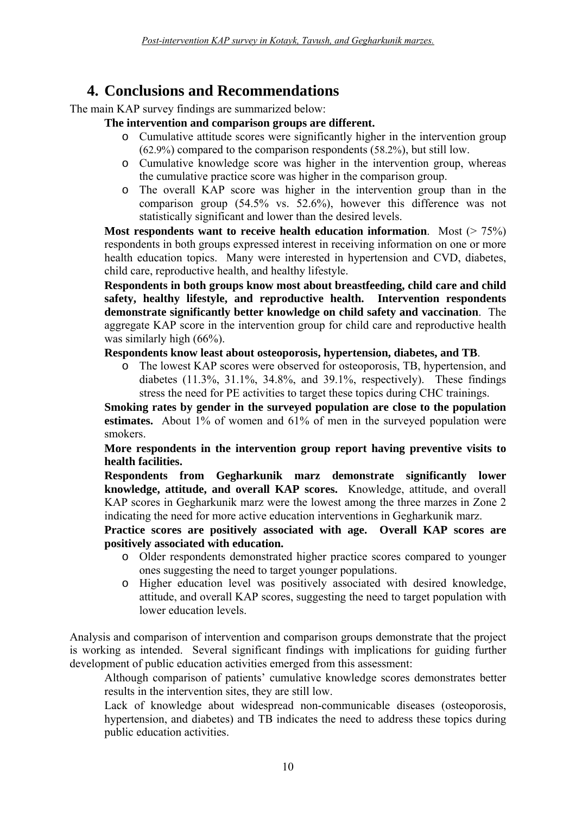# **4. Conclusions and Recommendations**

<span id="page-15-0"></span>The main KAP survey findings are summarized below:

#### **The intervention and comparison groups are different.**

- o Cumulative attitude scores were significantly higher in the intervention group (62.9%) compared to the comparison respondents (58.2%), but still low.
- o Cumulative knowledge score was higher in the intervention group, whereas the cumulative practice score was higher in the comparison group.
- o The overall KAP score was higher in the intervention group than in the comparison group (54.5% vs. 52.6%), however this difference was not statistically significant and lower than the desired levels.

**Most respondents want to receive health education information.** Most ( $> 75\%$ ) respondents in both groups expressed interest in receiving information on one or more health education topics. Many were interested in hypertension and CVD, diabetes, child care, reproductive health, and healthy lifestyle.

**Respondents in both groups know most about breastfeeding, child care and child safety, healthy lifestyle, and reproductive health. Intervention respondents demonstrate significantly better knowledge on child safety and vaccination**. The aggregate KAP score in the intervention group for child care and reproductive health was similarly high (66%).

### **Respondents know least about osteoporosis, hypertension, diabetes, and TB**.

o The lowest KAP scores were observed for osteoporosis, TB, hypertension, and diabetes (11.3%, 31.1%, 34.8%, and 39.1%, respectively). These findings stress the need for PE activities to target these topics during CHC trainings.

**Smoking rates by gender in the surveyed population are close to the population**  estimates. About 1% of women and 61% of men in the surveyed population were smokers.

**More respondents in the intervention group report having preventive visits to health facilities.**

**Respondents from Gegharkunik marz demonstrate significantly lower knowledge, attitude, and overall KAP scores.** Knowledge, attitude, and overall KAP scores in Gegharkunik marz were the lowest among the three marzes in Zone 2 indicating the need for more active education interventions in Gegharkunik marz.

**Practice scores are positively associated with age. Overall KAP scores are positively associated with education.** 

- o Older respondents demonstrated higher practice scores compared to younger ones suggesting the need to target younger populations.
- o Higher education level was positively associated with desired knowledge, attitude, and overall KAP scores, suggesting the need to target population with lower education levels.

Analysis and comparison of intervention and comparison groups demonstrate that the project is working as intended. Several significant findings with implications for guiding further development of public education activities emerged from this assessment:

Although comparison of patients' cumulative knowledge scores demonstrates better results in the intervention sites, they are still low.

Lack of knowledge about widespread non-communicable diseases (osteoporosis, hypertension, and diabetes) and TB indicates the need to address these topics during public education activities.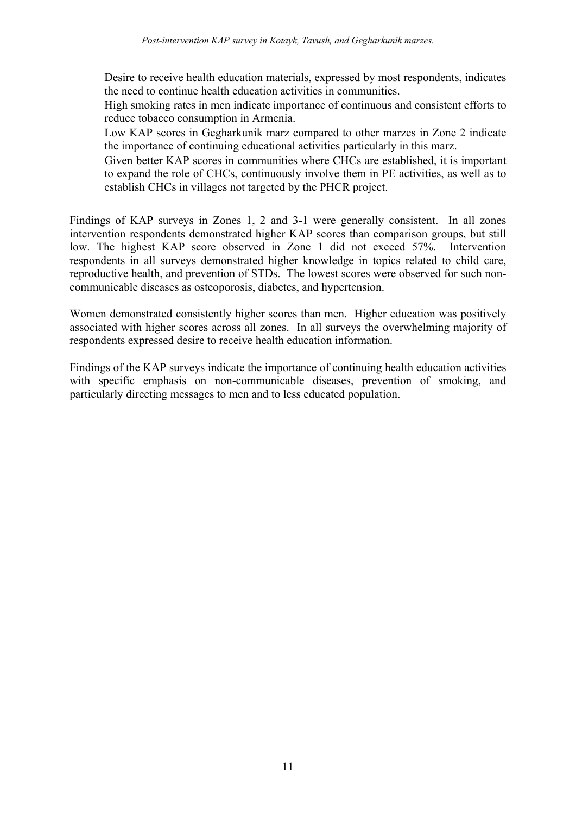Desire to receive health education materials, expressed by most respondents, indicates the need to continue health education activities in communities.

High smoking rates in men indicate importance of continuous and consistent efforts to reduce tobacco consumption in Armenia.

Low KAP scores in Gegharkunik marz compared to other marzes in Zone 2 indicate the importance of continuing educational activities particularly in this marz.

Given better KAP scores in communities where CHCs are established, it is important to expand the role of CHCs, continuously involve them in PE activities, as well as to establish CHCs in villages not targeted by the PHCR project.

Findings of KAP surveys in Zones 1, 2 and 3-1 were generally consistent. In all zones intervention respondents demonstrated higher KAP scores than comparison groups, but still low. The highest KAP score observed in Zone 1 did not exceed 57%. Intervention respondents in all surveys demonstrated higher knowledge in topics related to child care, reproductive health, and prevention of STDs. The lowest scores were observed for such noncommunicable diseases as osteoporosis, diabetes, and hypertension.

Women demonstrated consistently higher scores than men. Higher education was positively associated with higher scores across all zones. In all surveys the overwhelming majority of respondents expressed desire to receive health education information.

Findings of the KAP surveys indicate the importance of continuing health education activities with specific emphasis on non-communicable diseases, prevention of smoking, and particularly directing messages to men and to less educated population.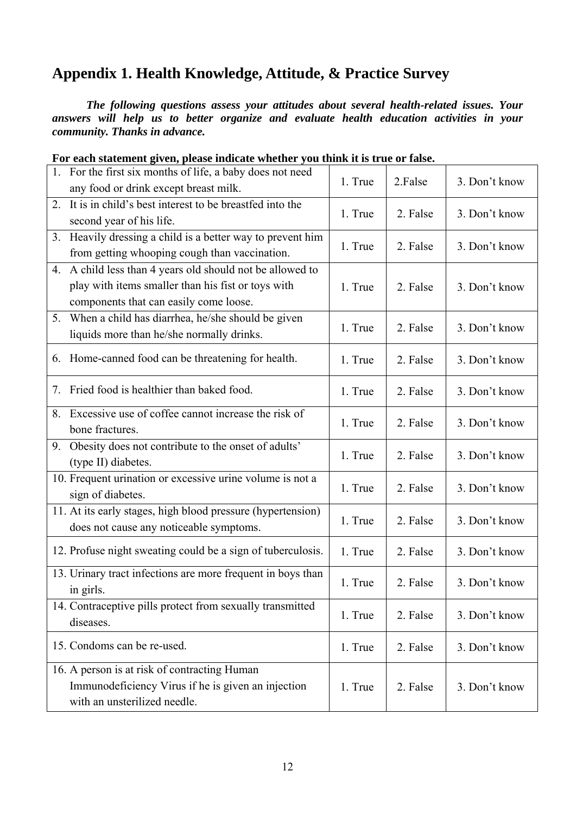# <span id="page-17-0"></span>**Appendix 1. Health Knowledge, Attitude, & Practice Survey**

 *The following questions assess your attitudes about several health-related issues. Your answers will help us to better organize and evaluate health education activities in your community. Thanks in advance.* 

|    | 1. For the first six months of life, a baby does not need<br>any food or drink except breast milk.                                                        | 1. True | 2.False  | 3. Don't know |
|----|-----------------------------------------------------------------------------------------------------------------------------------------------------------|---------|----------|---------------|
| 2. | It is in child's best interest to be breastfed into the<br>second year of his life.                                                                       | 1. True | 2. False | 3. Don't know |
|    | 3. Heavily dressing a child is a better way to prevent him<br>from getting whooping cough than vaccination.                                               | 1. True | 2. False | 3. Don't know |
|    | 4. A child less than 4 years old should not be allowed to<br>play with items smaller than his fist or toys with<br>components that can easily come loose. | 1. True | 2. False | 3. Don't know |
|    | 5. When a child has diarrhea, he/she should be given<br>liquids more than he/she normally drinks.                                                         | 1. True | 2. False | 3. Don't know |
| 6. | Home-canned food can be threatening for health.                                                                                                           | 1. True | 2. False | 3. Don't know |
| 7. | Fried food is healthier than baked food.                                                                                                                  | 1. True | 2. False | 3. Don't know |
| 8. | Excessive use of coffee cannot increase the risk of<br>bone fractures.                                                                                    | 1. True | 2. False | 3. Don't know |
|    | 9. Obesity does not contribute to the onset of adults'<br>(type II) diabetes.                                                                             | 1. True | 2. False | 3. Don't know |
|    | 10. Frequent urination or excessive urine volume is not a<br>sign of diabetes.                                                                            | 1. True | 2. False | 3. Don't know |
|    | 11. At its early stages, high blood pressure (hypertension)<br>does not cause any noticeable symptoms.                                                    | 1. True | 2. False | 3. Don't know |
|    | 12. Profuse night sweating could be a sign of tuberculosis.                                                                                               | 1. True | 2. False | 3. Don't know |
|    | 13. Urinary tract infections are more frequent in boys than<br>in girls.                                                                                  | 1. True | 2. False | 3. Don't know |
|    | 14. Contraceptive pills protect from sexually transmitted<br>diseases.                                                                                    | 1. True | 2. False | 3. Don't know |
|    | 15. Condoms can be re-used.                                                                                                                               | 1. True | 2. False | 3. Don't know |
|    | 16. A person is at risk of contracting Human<br>Immunodeficiency Virus if he is given an injection<br>with an unsterilized needle.                        | 1. True | 2. False | 3. Don't know |

**For each statement given, please indicate whether you think it is true or false.**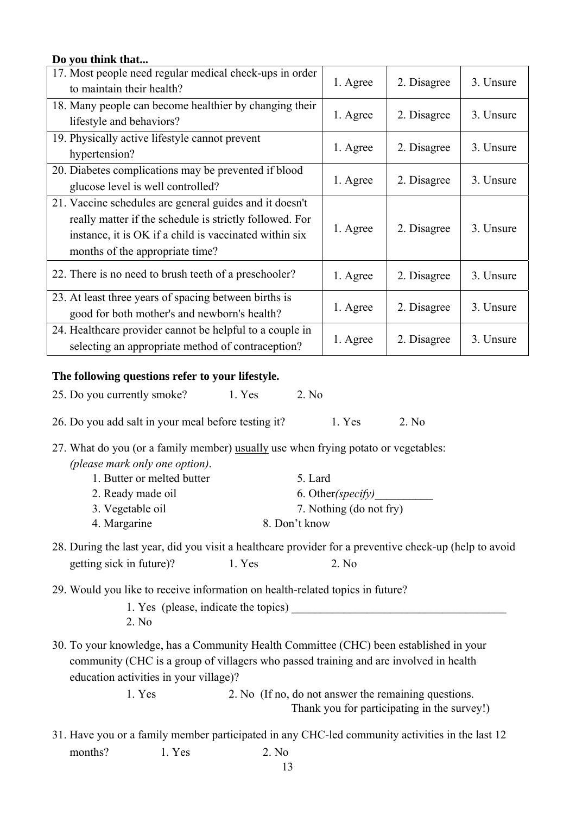# **Do you think that...**  17. Most people need regular medical check-ups in order to maintain their health? 1. Agree 2. Disagree 3. Unsure 18. Many people can become healthier by changing their lifestyle and behaviors? 1. Agree 1. Agree 2. Disagree 3. Unsure 19. Physically active lifestyle cannot prevent hypertension?  $\begin{vmatrix} 1. \text{Agree} \\ 2. \text{Disagree} \end{vmatrix}$  2. Disagree 3. Unsure 20. Diabetes complications may be prevented if blood glucose level is well controlled? 1. Agree 2. Disagree 3. Unsure 21. Vaccine schedules are general guides and it doesn't really matter if the schedule is strictly followed. For instance, it is OK if a child is vaccinated within six months of the appropriate time? 1. Agree  $\begin{array}{|c|c|c|} \hline \end{array}$  2. Disagree  $\begin{array}{|c|c|c|} \hline \end{array}$  3. Unsure 22. There is no need to brush teeth of a preschooler?  $\begin{array}{|l|} \hline \end{array}$  1. Agree  $\begin{array}{|l|} \hline \end{array}$  2. Disagree  $\begin{array}{|l|} \hline \end{array}$  3. Unsure 23. At least three years of spacing between births is good for both mother's and newborn's health? 1. Agree 2. Disagree 3. Unsure 24. Healthcare provider cannot be helpful to a couple in selecting an appropriate method of contraception?  $1.$  Agree  $\begin{array}{|l|l|} 2.$  Disagree  $\end{array}$  3. Unsure **The following questions refer to your lifestyle.**  25. Do you currently smoke? 1. Yes 2. No 26. Do you add salt in your meal before testing it? 1. Yes 2. No

27. What do you (or a family member) usually use when frying potato or vegetables: *(please mark only one option)*.

- 1. Butter or melted butter 5. Lard 2. Ready made oil 6. Other*(specify)*  3. Vegetable oil 7. Nothing (do not fry) 4. Margarine 8. Don't know
- 28. During the last year, did you visit a healthcare provider for a preventive check-up (help to avoid getting sick in future)? 1. Yes 2. No
- 29. Would you like to receive information on health-related topics in future?
	- 1. Yes (please, indicate the topics) 2. No
- 30. To your knowledge, has a Community Health Committee (CHC) been established in your community (CHC is a group of villagers who passed training and are involved in health education activities in your village)?

 1. Yes 2. No (If no, do not answer the remaining questions. Thank you for participating in the survey!)

31. Have you or a family member participated in any CHC-led community activities in the last 12 months?  $1. Yes$   $2. No$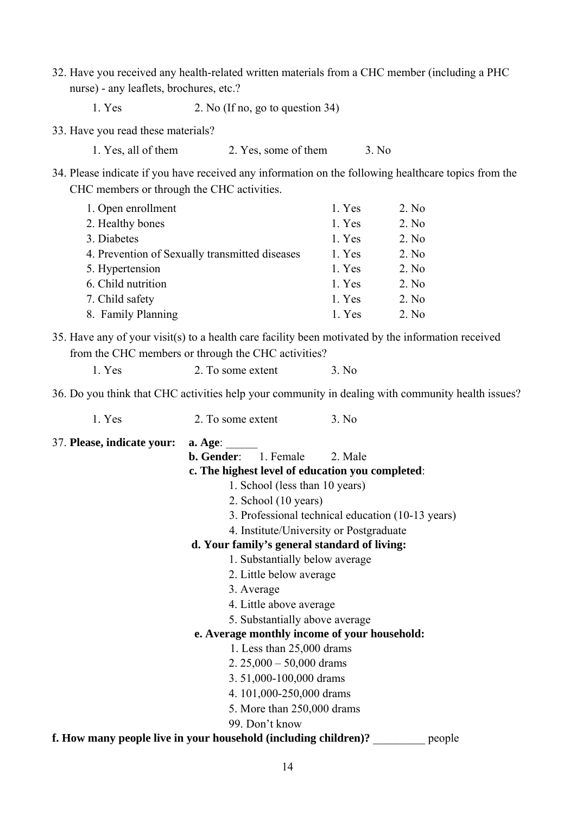- 32. Have you received any health-related written materials from a CHC member (including a PHC nurse) - any leaflets, brochures, etc.?
	- 1. Yes 2. No (If no, go to question 34)
- 33. Have you read these materials?
	- 1. Yes, all of them 2. Yes, some of them 3. No
- 34. Please indicate if you have received any information on the following healthcare topics from the CHC members or through the CHC activities.

| 1. Open enrollment                             | 1. Yes | 2. No |
|------------------------------------------------|--------|-------|
| 2. Healthy bones                               | 1. Yes | 2. No |
| 3. Diabetes                                    | 1. Yes | 2. No |
| 4. Prevention of Sexually transmitted diseases | 1. Yes | 2. No |
| 5. Hypertension                                | 1. Yes | 2. No |
| 6. Child nutrition                             | 1. Yes | 2. No |
| 7. Child safety                                | 1. Yes | 2. No |
| 8. Family Planning                             | 1. Yes | 2. No |

35. Have any of your visit(s) to a health care facility been motivated by the information received from the CHC members or through the CHC activities?

|  | 1. Yes |  |  | 2. To some extent |  | 3. No |
|--|--------|--|--|-------------------|--|-------|
|--|--------|--|--|-------------------|--|-------|

36. Do you think that CHC activities help your community in dealing with community health issues?

1. Yes 2. To some extent 3. No

37. **Please, indicate your: a. Age:** 

**b. Gender**: 1. Female 2. Male

#### **c. The highest level of education you completed**:

- 1. School (less than 10 years)
- 2. School (10 years)
- 3. Professional technical education (10-13 years)
- 4. Institute/University or Postgraduate

#### **d. Your family's general standard of living:**

- 1. Substantially below average
- 2. Little below average
- 3. Average
- 4. Little above average
- 5. Substantially above average

#### **e. Average monthly income of your household:**

- 1. Less than 25,000 drams
- 2. 25,000 50,000 drams
- 3. 51,000-100,000 drams
- 4. 101,000-250,000 drams
- 5. More than 250,000 drams
- 99. Don't know

**f. How many people live in your household (including children)?** people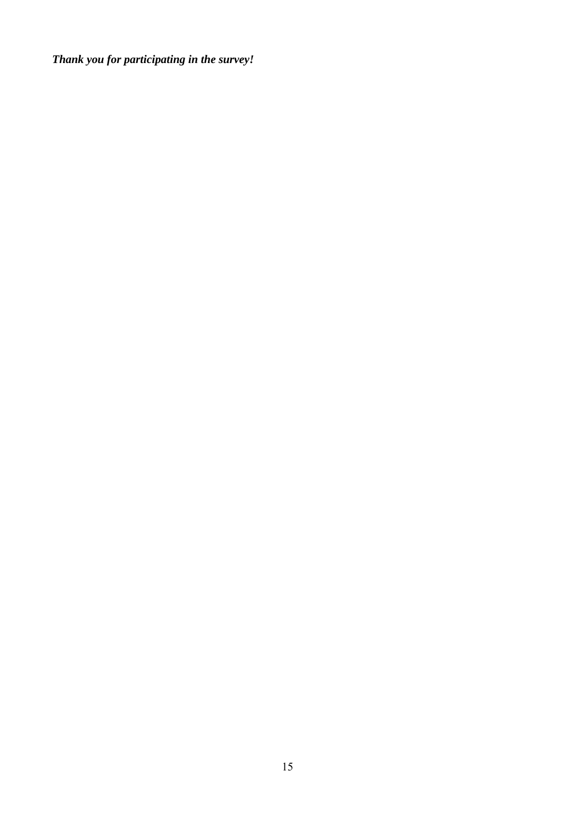*Thank you for participating in the survey!*